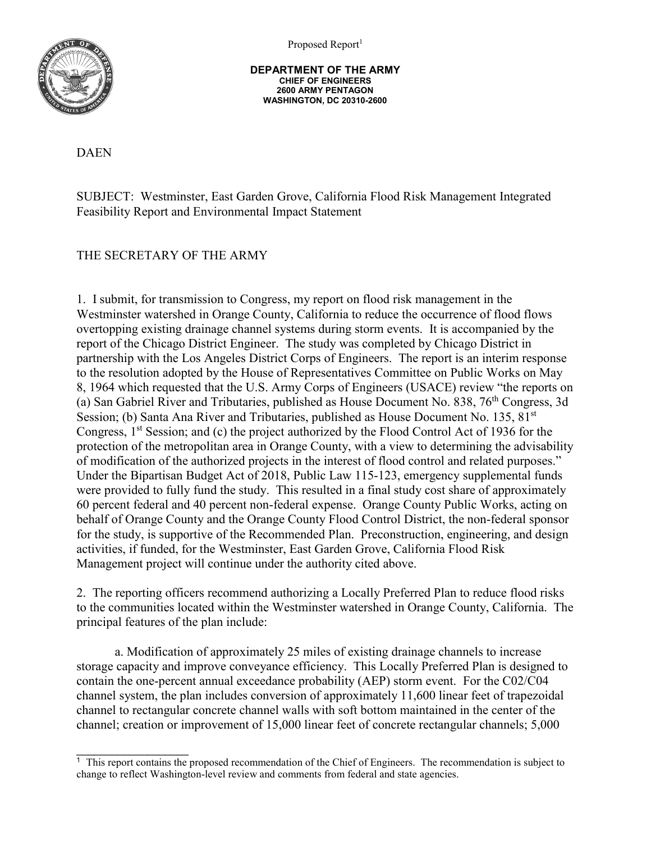Proposed Report<sup>1</sup>



**DEPARTMENT OF THE ARMY CHIEF OF ENGINEERS 2600 ARMY PENTAGON WASHINGTON, DC 20310-2600**

DAEN

SUBJECT: Westminster, East Garden Grove, California Flood Risk Management Integrated Feasibility Report and Environmental Impact Statement

## THE SECRETARY OF THE ARMY

1. I submit, for transmission to Congress, my report on flood risk management in the Westminster watershed in Orange County, California to reduce the occurrence of flood flows overtopping existing drainage channel systems during storm events. It is accompanied by the report of the Chicago District Engineer. The study was completed by Chicago District in partnership with the Los Angeles District Corps of Engineers. The report is an interim response to the resolution adopted by the House of Representatives Committee on Public Works on May 8, 1964 which requested that the U.S. Army Corps of Engineers (USACE) review "the reports on (a) San Gabriel River and Tributaries, published as House Document No. 838,  $76<sup>th</sup>$  Congress, 3d Session; (b) Santa Ana River and Tributaries, published as House Document No. 135, 81<sup>st</sup> Congress, 1<sup>st</sup> Session; and (c) the project authorized by the Flood Control Act of 1936 for the protection of the metropolitan area in Orange County, with a view to determining the advisability of modification of the authorized projects in the interest of flood control and related purposes." Under the Bipartisan Budget Act of 2018, Public Law 115-123, emergency supplemental funds were provided to fully fund the study. This resulted in a final study cost share of approximately 60 percent federal and 40 percent non-federal expense. Orange County Public Works, acting on behalf of Orange County and the Orange County Flood Control District, the non-federal sponsor for the study, is supportive of the Recommended Plan. Preconstruction, engineering, and design activities, if funded, for the Westminster, East Garden Grove, California Flood Risk Management project will continue under the authority cited above.

2. The reporting officers recommend authorizing a Locally Preferred Plan to reduce flood risks to the communities located within the Westminster watershed in Orange County, California. The principal features of the plan include:

a. Modification of approximately 25 miles of existing drainage channels to increase storage capacity and improve conveyance efficiency. This Locally Preferred Plan is designed to contain the one-percent annual exceedance probability (AEP) storm event. For the C02/C04 channel system, the plan includes conversion of approximately 11,600 linear feet of trapezoidal channel to rectangular concrete channel walls with soft bottom maintained in the center of the channel; creation or improvement of 15,000 linear feet of concrete rectangular channels; 5,000

 $\overline{\phantom{a}}$  . The set of the set of the set of the set of the set of the set of the set of the set of the set of the set of the set of the set of the set of the set of the set of the set of the set of the set of the set o 1 This report contains the proposed recommendation of the Chief of Engineers. The recommendation is subject to change to reflect Washington-level review and comments from federal and state agencies.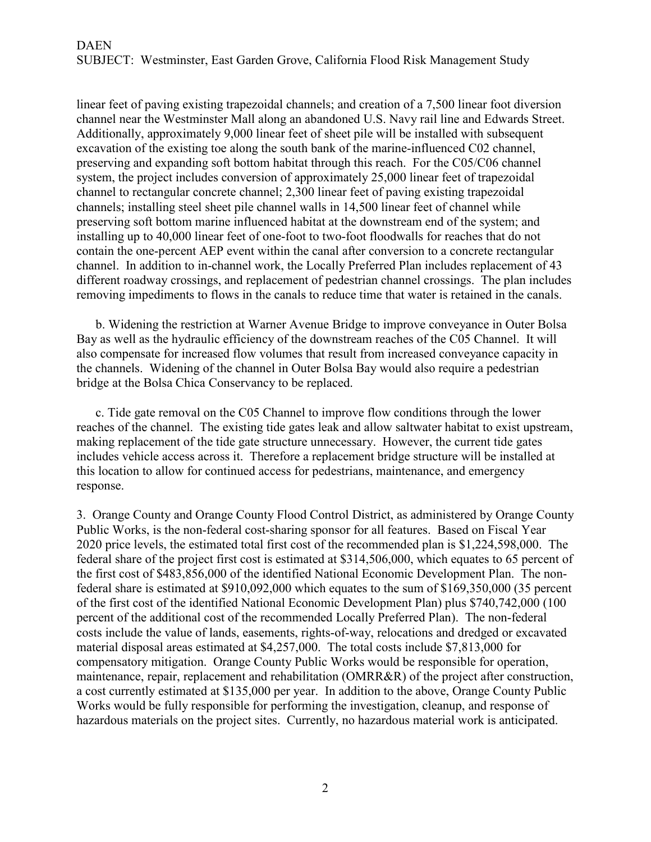linear feet of paving existing trapezoidal channels; and creation of a 7,500 linear foot diversion channel near the Westminster Mall along an abandoned U.S. Navy rail line and Edwards Street. Additionally, approximately 9,000 linear feet of sheet pile will be installed with subsequent excavation of the existing toe along the south bank of the marine-influenced C02 channel, preserving and expanding soft bottom habitat through this reach. For the C05/C06 channel system, the project includes conversion of approximately 25,000 linear feet of trapezoidal channel to rectangular concrete channel; 2,300 linear feet of paving existing trapezoidal channels; installing steel sheet pile channel walls in 14,500 linear feet of channel while preserving soft bottom marine influenced habitat at the downstream end of the system; and installing up to 40,000 linear feet of one-foot to two-foot floodwalls for reaches that do not contain the one-percent AEP event within the canal after conversion to a concrete rectangular channel. In addition to in-channel work, the Locally Preferred Plan includes replacement of 43 different roadway crossings, and replacement of pedestrian channel crossings. The plan includes removing impediments to flows in the canals to reduce time that water is retained in the canals.

b. Widening the restriction at Warner Avenue Bridge to improve conveyance in Outer Bolsa Bay as well as the hydraulic efficiency of the downstream reaches of the C05 Channel. It will also compensate for increased flow volumes that result from increased conveyance capacity in the channels. Widening of the channel in Outer Bolsa Bay would also require a pedestrian bridge at the Bolsa Chica Conservancy to be replaced.

c. Tide gate removal on the C05 Channel to improve flow conditions through the lower reaches of the channel. The existing tide gates leak and allow saltwater habitat to exist upstream, making replacement of the tide gate structure unnecessary. However, the current tide gates includes vehicle access across it. Therefore a replacement bridge structure will be installed at this location to allow for continued access for pedestrians, maintenance, and emergency response.

3. Orange County and Orange County Flood Control District, as administered by Orange County Public Works, is the non-federal cost-sharing sponsor for all features. Based on Fiscal Year 2020 price levels, the estimated total first cost of the recommended plan is \$1,224,598,000. The federal share of the project first cost is estimated at \$314,506,000, which equates to 65 percent of the first cost of \$483,856,000 of the identified National Economic Development Plan. The nonfederal share is estimated at \$910,092,000 which equates to the sum of \$169,350,000 (35 percent of the first cost of the identified National Economic Development Plan) plus \$740,742,000 (100 percent of the additional cost of the recommended Locally Preferred Plan). The non-federal costs include the value of lands, easements, rights-of-way, relocations and dredged or excavated material disposal areas estimated at \$4,257,000. The total costs include \$7,813,000 for compensatory mitigation. Orange County Public Works would be responsible for operation, maintenance, repair, replacement and rehabilitation (OMRR&R) of the project after construction, a cost currently estimated at \$135,000 per year. In addition to the above, Orange County Public Works would be fully responsible for performing the investigation, cleanup, and response of hazardous materials on the project sites. Currently, no hazardous material work is anticipated.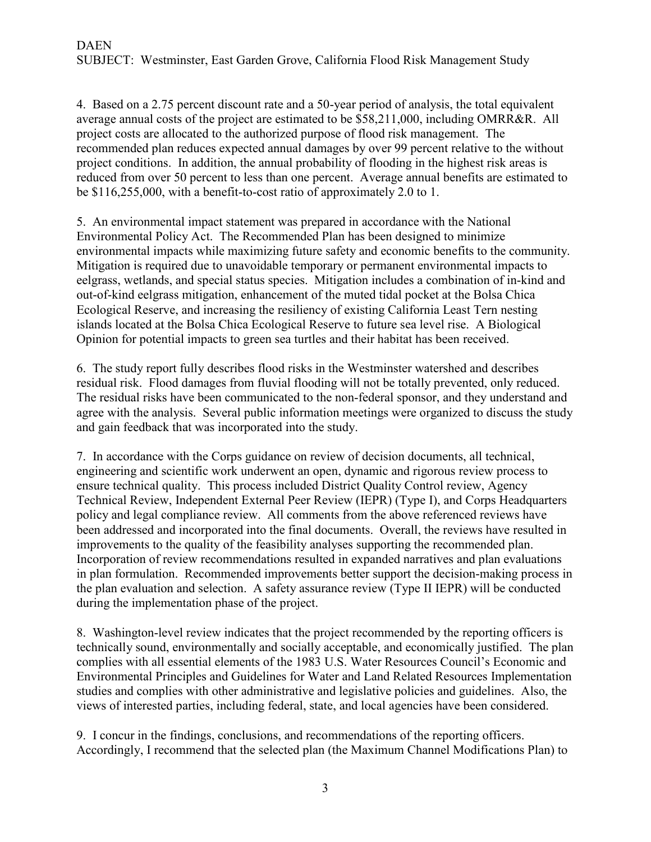4. Based on a 2.75 percent discount rate and a 50-year period of analysis, the total equivalent average annual costs of the project are estimated to be \$58,211,000, including OMRR&R. All project costs are allocated to the authorized purpose of flood risk management. The recommended plan reduces expected annual damages by over 99 percent relative to the without project conditions. In addition, the annual probability of flooding in the highest risk areas is reduced from over 50 percent to less than one percent. Average annual benefits are estimated to be \$116,255,000, with a benefit-to-cost ratio of approximately 2.0 to 1.

5. An environmental impact statement was prepared in accordance with the National Environmental Policy Act. The Recommended Plan has been designed to minimize environmental impacts while maximizing future safety and economic benefits to the community. Mitigation is required due to unavoidable temporary or permanent environmental impacts to eelgrass, wetlands, and special status species. Mitigation includes a combination of in-kind and out-of-kind eelgrass mitigation, enhancement of the muted tidal pocket at the Bolsa Chica Ecological Reserve, and increasing the resiliency of existing California Least Tern nesting islands located at the Bolsa Chica Ecological Reserve to future sea level rise. A Biological Opinion for potential impacts to green sea turtles and their habitat has been received.

6. The study report fully describes flood risks in the Westminster watershed and describes residual risk. Flood damages from fluvial flooding will not be totally prevented, only reduced. The residual risks have been communicated to the non-federal sponsor, and they understand and agree with the analysis. Several public information meetings were organized to discuss the study and gain feedback that was incorporated into the study.

7. In accordance with the Corps guidance on review of decision documents, all technical, engineering and scientific work underwent an open, dynamic and rigorous review process to ensure technical quality. This process included District Quality Control review, Agency Technical Review, Independent External Peer Review (IEPR) (Type I), and Corps Headquarters policy and legal compliance review. All comments from the above referenced reviews have been addressed and incorporated into the final documents. Overall, the reviews have resulted in improvements to the quality of the feasibility analyses supporting the recommended plan. Incorporation of review recommendations resulted in expanded narratives and plan evaluations in plan formulation. Recommended improvements better support the decision-making process in the plan evaluation and selection. A safety assurance review (Type II IEPR) will be conducted during the implementation phase of the project.

8. Washington-level review indicates that the project recommended by the reporting officers is technically sound, environmentally and socially acceptable, and economically justified. The plan complies with all essential elements of the 1983 U.S. Water Resources Council's Economic and Environmental Principles and Guidelines for Water and Land Related Resources Implementation studies and complies with other administrative and legislative policies and guidelines. Also, the views of interested parties, including federal, state, and local agencies have been considered.

9. I concur in the findings, conclusions, and recommendations of the reporting officers. Accordingly, I recommend that the selected plan (the Maximum Channel Modifications Plan) to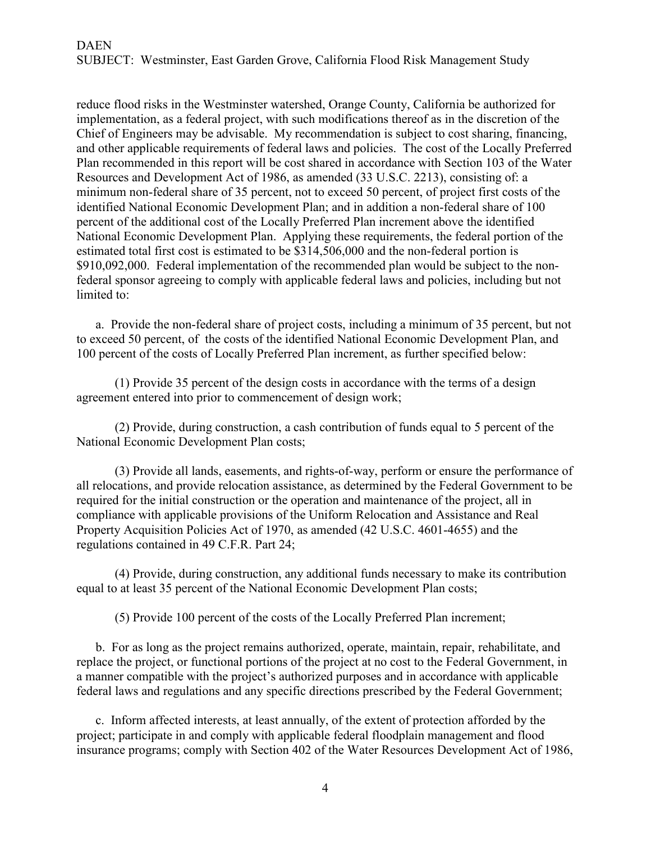reduce flood risks in the Westminster watershed, Orange County, California be authorized for implementation, as a federal project, with such modifications thereof as in the discretion of the Chief of Engineers may be advisable. My recommendation is subject to cost sharing, financing, and other applicable requirements of federal laws and policies. The cost of the Locally Preferred Plan recommended in this report will be cost shared in accordance with Section 103 of the Water Resources and Development Act of 1986, as amended (33 U.S.C. 2213), consisting of: a minimum non-federal share of 35 percent, not to exceed 50 percent, of project first costs of the identified National Economic Development Plan; and in addition a non-federal share of 100 percent of the additional cost of the Locally Preferred Plan increment above the identified National Economic Development Plan. Applying these requirements, the federal portion of the estimated total first cost is estimated to be \$314,506,000 and the non-federal portion is \$910,092,000. Federal implementation of the recommended plan would be subject to the nonfederal sponsor agreeing to comply with applicable federal laws and policies, including but not limited to:

a. Provide the non-federal share of project costs, including a minimum of 35 percent, but not to exceed 50 percent, of the costs of the identified National Economic Development Plan, and 100 percent of the costs of Locally Preferred Plan increment, as further specified below:

(1) Provide 35 percent of the design costs in accordance with the terms of a design agreement entered into prior to commencement of design work;

(2) Provide, during construction, a cash contribution of funds equal to 5 percent of the National Economic Development Plan costs;

(3) Provide all lands, easements, and rights-of-way, perform or ensure the performance of all relocations, and provide relocation assistance, as determined by the Federal Government to be required for the initial construction or the operation and maintenance of the project, all in compliance with applicable provisions of the Uniform Relocation and Assistance and Real Property Acquisition Policies Act of 1970, as amended (42 U.S.C. 4601-4655) and the regulations contained in 49 C.F.R. Part 24;

(4) Provide, during construction, any additional funds necessary to make its contribution equal to at least 35 percent of the National Economic Development Plan costs;

(5) Provide 100 percent of the costs of the Locally Preferred Plan increment;

b. For as long as the project remains authorized, operate, maintain, repair, rehabilitate, and replace the project, or functional portions of the project at no cost to the Federal Government, in a manner compatible with the project's authorized purposes and in accordance with applicable federal laws and regulations and any specific directions prescribed by the Federal Government;

c. Inform affected interests, at least annually, of the extent of protection afforded by the project; participate in and comply with applicable federal floodplain management and flood insurance programs; comply with Section 402 of the Water Resources Development Act of 1986,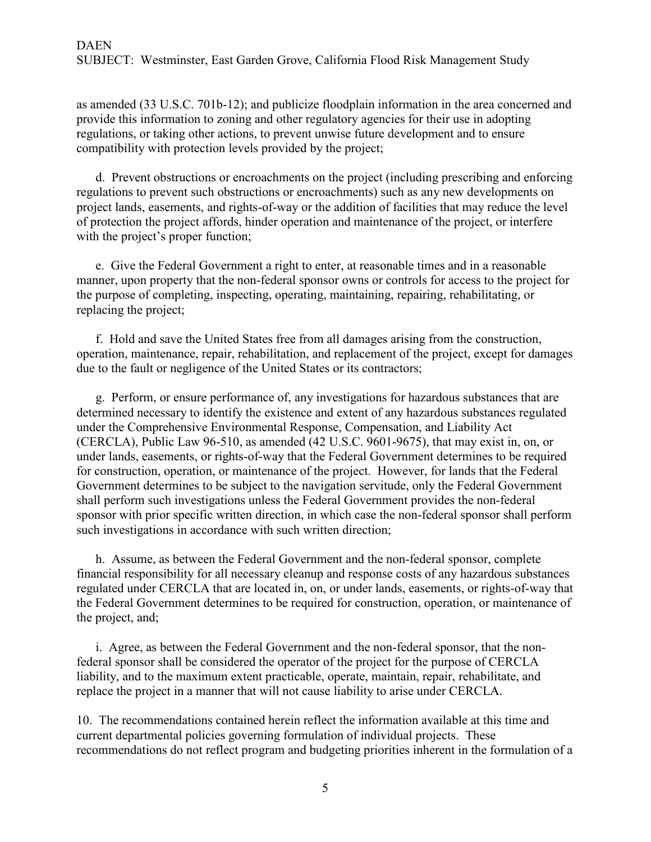## DAEN SUBJECT: Westminster, East Garden Grove, California Flood Risk Management Study

as amended (33 U.S.C. 701b-12); and publicize floodplain information in the area concerned and provide this information to zoning and other regulatory agencies for their use in adopting regulations, or taking other actions, to prevent unwise future development and to ensure compatibility with protection levels provided by the project;

d. Prevent obstructions or encroachments on the project (including prescribing and enforcing regulations to prevent such obstructions or encroachments) such as any new developments on project lands, easements, and rights-of-way or the addition of facilities that may reduce the level of protection the project affords, hinder operation and maintenance of the project, or interfere with the project's proper function;

e. Give the Federal Government a right to enter, at reasonable times and in a reasonable manner, upon property that the non-federal sponsor owns or controls for access to the project for the purpose of completing, inspecting, operating, maintaining, repairing, rehabilitating, or replacing the project;

f. Hold and save the United States free from all damages arising from the construction, operation, maintenance, repair, rehabilitation, and replacement of the project, except for damages due to the fault or negligence of the United States or its contractors;

g. Perform, or ensure performance of, any investigations for hazardous substances that are determined necessary to identify the existence and extent of any hazardous substances regulated under the Comprehensive Environmental Response, Compensation, and Liability Act (CERCLA), Public Law 96-510, as amended (42 U.S.C. 9601-9675), that may exist in, on, or under lands, easements, or rights-of-way that the Federal Government determines to be required for construction, operation, or maintenance of the project. However, for lands that the Federal Government determines to be subject to the navigation servitude, only the Federal Government shall perform such investigations unless the Federal Government provides the non-federal sponsor with prior specific written direction, in which case the non-federal sponsor shall perform such investigations in accordance with such written direction;

h. Assume, as between the Federal Government and the non-federal sponsor, complete financial responsibility for all necessary cleanup and response costs of any hazardous substances regulated under CERCLA that are located in, on, or under lands, easements, or rights-of-way that the Federal Government determines to be required for construction, operation, or maintenance of the project, and;

i. Agree, as between the Federal Government and the non-federal sponsor, that the nonfederal sponsor shall be considered the operator of the project for the purpose of CERCLA liability, and to the maximum extent practicable, operate, maintain, repair, rehabilitate, and replace the project in a manner that will not cause liability to arise under CERCLA.

10. The recommendations contained herein reflect the information available at this time and current departmental policies governing formulation of individual projects. These recommendations do not reflect program and budgeting priorities inherent in the formulation of a